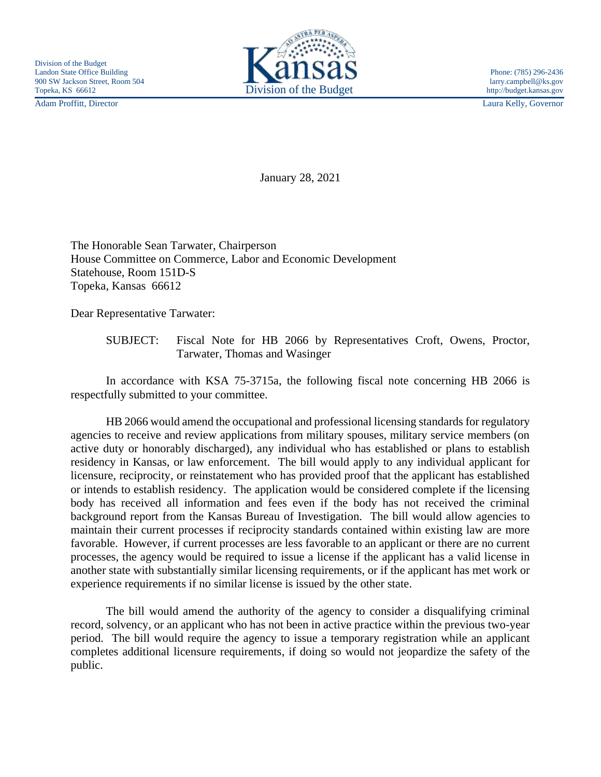

Adam Proffitt, Director Laura Kelly, Governor

January 28, 2021

The Honorable Sean Tarwater, Chairperson House Committee on Commerce, Labor and Economic Development Statehouse, Room 151D-S Topeka, Kansas 66612

Dear Representative Tarwater:

SUBJECT: Fiscal Note for HB 2066 by Representatives Croft, Owens, Proctor, Tarwater, Thomas and Wasinger

In accordance with KSA 75-3715a, the following fiscal note concerning HB 2066 is respectfully submitted to your committee.

HB 2066 would amend the occupational and professional licensing standards for regulatory agencies to receive and review applications from military spouses, military service members (on active duty or honorably discharged), any individual who has established or plans to establish residency in Kansas, or law enforcement. The bill would apply to any individual applicant for licensure, reciprocity, or reinstatement who has provided proof that the applicant has established or intends to establish residency. The application would be considered complete if the licensing body has received all information and fees even if the body has not received the criminal background report from the Kansas Bureau of Investigation. The bill would allow agencies to maintain their current processes if reciprocity standards contained within existing law are more favorable. However, if current processes are less favorable to an applicant or there are no current processes, the agency would be required to issue a license if the applicant has a valid license in another state with substantially similar licensing requirements, or if the applicant has met work or experience requirements if no similar license is issued by the other state.

The bill would amend the authority of the agency to consider a disqualifying criminal record, solvency, or an applicant who has not been in active practice within the previous two-year period. The bill would require the agency to issue a temporary registration while an applicant completes additional licensure requirements, if doing so would not jeopardize the safety of the public.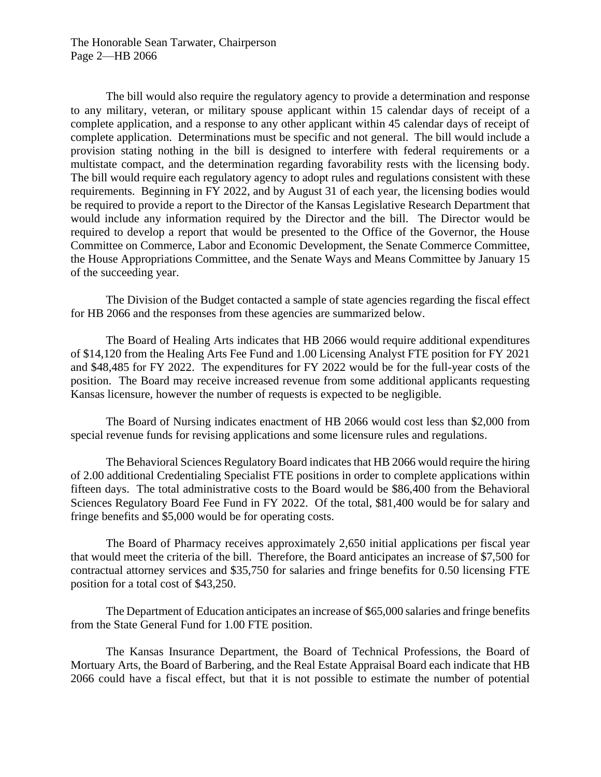The Honorable Sean Tarwater, Chairperson Page 2—HB 2066

The bill would also require the regulatory agency to provide a determination and response to any military, veteran, or military spouse applicant within 15 calendar days of receipt of a complete application, and a response to any other applicant within 45 calendar days of receipt of complete application. Determinations must be specific and not general. The bill would include a provision stating nothing in the bill is designed to interfere with federal requirements or a multistate compact, and the determination regarding favorability rests with the licensing body. The bill would require each regulatory agency to adopt rules and regulations consistent with these requirements. Beginning in FY 2022, and by August 31 of each year, the licensing bodies would be required to provide a report to the Director of the Kansas Legislative Research Department that would include any information required by the Director and the bill. The Director would be required to develop a report that would be presented to the Office of the Governor, the House Committee on Commerce, Labor and Economic Development, the Senate Commerce Committee, the House Appropriations Committee, and the Senate Ways and Means Committee by January 15 of the succeeding year.

The Division of the Budget contacted a sample of state agencies regarding the fiscal effect for HB 2066 and the responses from these agencies are summarized below.

The Board of Healing Arts indicates that HB 2066 would require additional expenditures of \$14,120 from the Healing Arts Fee Fund and 1.00 Licensing Analyst FTE position for FY 2021 and \$48,485 for FY 2022. The expenditures for FY 2022 would be for the full-year costs of the position. The Board may receive increased revenue from some additional applicants requesting Kansas licensure, however the number of requests is expected to be negligible.

The Board of Nursing indicates enactment of HB 2066 would cost less than \$2,000 from special revenue funds for revising applications and some licensure rules and regulations.

The Behavioral Sciences Regulatory Board indicates that HB 2066 would require the hiring of 2.00 additional Credentialing Specialist FTE positions in order to complete applications within fifteen days. The total administrative costs to the Board would be \$86,400 from the Behavioral Sciences Regulatory Board Fee Fund in FY 2022. Of the total, \$81,400 would be for salary and fringe benefits and \$5,000 would be for operating costs.

The Board of Pharmacy receives approximately 2,650 initial applications per fiscal year that would meet the criteria of the bill. Therefore, the Board anticipates an increase of \$7,500 for contractual attorney services and \$35,750 for salaries and fringe benefits for 0.50 licensing FTE position for a total cost of \$43,250.

The Department of Education anticipates an increase of \$65,000 salaries and fringe benefits from the State General Fund for 1.00 FTE position.

The Kansas Insurance Department, the Board of Technical Professions, the Board of Mortuary Arts, the Board of Barbering, and the Real Estate Appraisal Board each indicate that HB 2066 could have a fiscal effect, but that it is not possible to estimate the number of potential